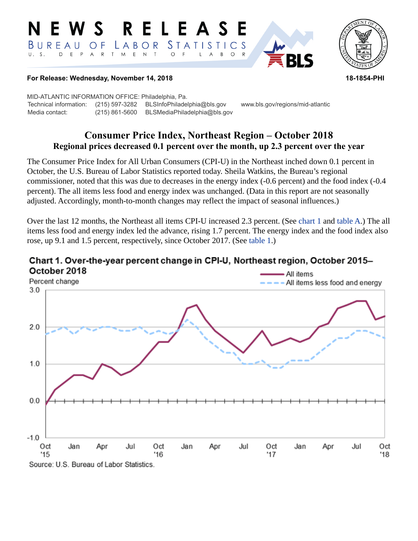#### **RELEASE** W S E. *STATISTICS* BUREAU  $\overline{O}$  F LABOR D E P  ${\sf R}$  $T$  $M_{\odot}$  $E$  N  $\top$  $U. S.$  $\overline{A}$  $\circ$  $\mathsf{L}$  $\overline{A}$  $B$  $\circ$



## **For Release: Wednesday, November 14, 2018 18-1854-PHI**

MID-ATLANTIC INFORMATION OFFICE: Philadelphia, Pa. Technical information: (215) 597-3282 BLSInfoPhiladelphia@bls.gov www.bls.gov/regions/mid-atlantic Media contact: (215) 861-5600 BLSMediaPhiladelphia@bls.gov

# **Consumer Price Index, Northeast Region – October 2018 Regional prices decreased 0.1 percent over the month, up 2.3 percent over the year**

The Consumer Price Index for All Urban Consumers (CPI-U) in the Northeast inched down 0.1 percent in October, the U.S. Bureau of Labor Statistics reported today. Sheila Watkins, the Bureau's regional commissioner, noted that this was due to decreases in the energy index (-0.6 percent) and the food index (-0.4 percent). The all items less food and energy index was unchanged. (Data in this report are not seasonally adjusted. Accordingly, month-to-month changes may reflect the impact of seasonal influences.)

Over the last 12 months, the Northeast all items CPI-U increased 2.3 percent. (See [chart 1](#page-0-0) and [table A](#page-1-0).) The all items less food and energy index led the advance, rising 1.7 percent. The energy index and the food index also rose, up 9.1 and 1.5 percent, respectively, since October 2017. (See [table 1](#page-3-0).)



## <span id="page-0-0"></span>Chart 1. Over-the-year percent change in CPI-U, Northeast region, October 2015-October 2018

Source: U.S. Bureau of Labor Statistics.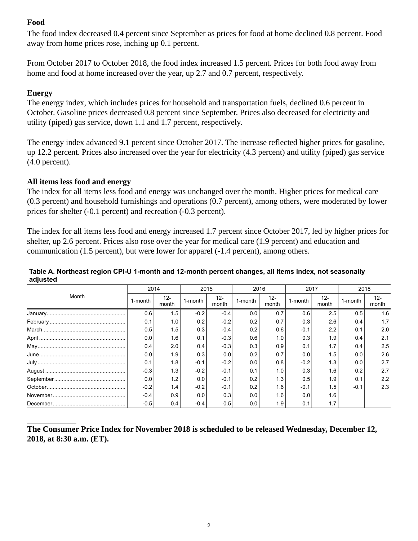# **Food**

The food index decreased 0.4 percent since September as prices for food at home declined 0.8 percent. Food away from home prices rose, inching up 0.1 percent.

From October 2017 to October 2018, the food index increased 1.5 percent. Prices for both food away from home and food at home increased over the year, up 2.7 and 0.7 percent, respectively.

# **Energy**

The energy index, which includes prices for household and transportation fuels, declined 0.6 percent in October. Gasoline prices decreased 0.8 percent since September. Prices also decreased for electricity and utility (piped) gas service, down 1.1 and 1.7 percent, respectively.

The energy index advanced 9.1 percent since October 2017. The increase reflected higher prices for gasoline, up 12.2 percent. Prices also increased over the year for electricity (4.3 percent) and utility (piped) gas service (4.0 percent).

## **All items less food and energy**

The index for all items less food and energy was unchanged over the month. Higher prices for medical care (0.3 percent) and household furnishings and operations (0.7 percent), among others, were moderated by lower prices for shelter (-0.1 percent) and recreation (-0.3 percent).

The index for all items less food and energy increased 1.7 percent since October 2017, led by higher prices for shelter, up 2.6 percent. Prices also rose over the year for medical care (1.9 percent) and education and communication (1.5 percent), but were lower for apparel (-1.4 percent), among others.

| Month         | 2014    |                 | 2015    |                 | 2016    |                 | 2017    |                 | 2018    |                 |
|---------------|---------|-----------------|---------|-----------------|---------|-----------------|---------|-----------------|---------|-----------------|
|               | 1-month | $12 -$<br>month | 1-month | $12 -$<br>month | 1-month | $12 -$<br>month | 1-month | $12 -$<br>month | 1-month | $12 -$<br>month |
|               | 0.6     | 1.5             | $-0.2$  | $-0.4$          | 0.0     | 0.7             | 0.6     | 2.5             | 0.5     | 1.6             |
|               | 0.1     | 1.0             | 0.2     | $-0.2$          | 0.2     | 0.7             | 0.3     | 2.6             | 0.4     | 1.7             |
|               | 0.5     | 1.5             | 0.3     | $-0.4$          | 0.2     | 0.6             | $-0.1$  | 2.2             | 0.1     | 2.0             |
|               | 0.0     | 1.6             | 0.1     | $-0.3$          | 0.6     | 1.0             | 0.3     | 1.9             | 0.4     | 2.1             |
| ${\sf May}\\$ | 0.4     | 2.0             | 0.4     | $-0.3$          | 0.3     | 0.9             | 0.1     | 1.7             | 0.4     | 2.5             |
|               | 0.0     | 1.9             | 0.3     | 0.0             | 0.2     | 0.7             | 0.0     | 1.5             | 0.0     | 2.6             |
|               | 0.1     | 1.8             | $-0.1$  | $-0.2$          | 0.0     | 0.8             | $-0.2$  | 1.3             | 0.0     | 2.7             |
|               | $-0.3$  | 1.3             | $-0.2$  | $-0.1$          | 0.1     | 1.0             | 0.3     | 1.6             | 0.2     | 2.7             |
|               | 0.0     | 1.2             | 0.0     | $-0.1$          | 0.2     | 1.3             | 0.5     | 1.9             | 0.1     | 2.2             |
|               | $-0.2$  | 1.4             | $-0.2$  | $-0.1$          | 0.2     | 1.6             | $-0.1$  | 1.5             | $-0.1$  | 2.3             |
|               | $-0.4$  | 0.9             | 0.0     | 0.3             | 0.0     | 1.6             | 0.0     | 1.6             |         |                 |
|               | $-0.5$  | 0.4             | $-0.4$  | 0.5             | 0.0     | 1.9             | 0.1     |                 |         |                 |

## <span id="page-1-0"></span>**Table A. Northeast region CPI-U 1-month and 12-month percent changes, all items index, not seasonally adjusted**

**The Consumer Price Index for November 2018 is scheduled to be released Wednesday, December 12, 2018, at 8:30 a.m. (ET).**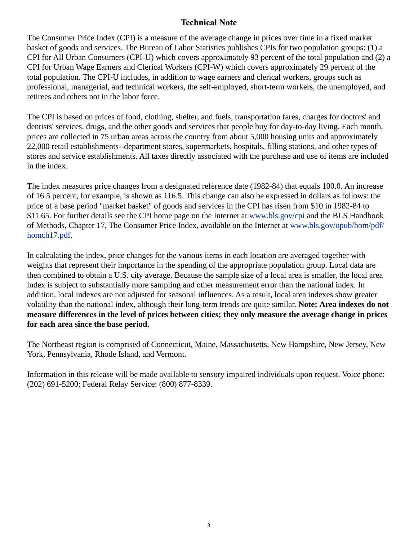# **Technical Note**

The Consumer Price Index (CPI) is a measure of the average change in prices over time in a fixed market basket of goods and services. The Bureau of Labor Statistics publishes CPIs for two population groups: (1) a CPI for All Urban Consumers (CPI-U) which covers approximately 93 percent of the total population and (2) a CPI for Urban Wage Earners and Clerical Workers (CPI-W) which covers approximately 29 percent of the total population. The CPI-U includes, in addition to wage earners and clerical workers, groups such as professional, managerial, and technical workers, the self-employed, short-term workers, the unemployed, and retirees and others not in the labor force.

The CPI is based on prices of food, clothing, shelter, and fuels, transportation fares, charges for doctors' and dentists' services, drugs, and the other goods and services that people buy for day-to-day living. Each month, prices are collected in 75 urban areas across the country from about 5,000 housing units and approximately 22,000 retail establishments--department stores, supermarkets, hospitals, filling stations, and other types of stores and service establishments. All taxes directly associated with the purchase and use of items are included in the index.

The index measures price changes from a designated reference date (1982-84) that equals 100.0. An increase of 16.5 percent, for example, is shown as 116.5. This change can also be expressed in dollars as follows: the price of a base period "market basket" of goods and services in the CPI has risen from \$10 in 1982-84 to \$11.65. For further details see the CPI home page on the Internet at [www.bls.gov/cpi](https://www.bls.gov/cpi) and the BLS Handbook of Methods, Chapter 17, The Consumer Price Index, available on the Internet at [www.bls.gov/opub/hom/pdf/](https://www.bls.gov/opub/hom/pdf/homch17.pdf) [homch17.pdf](https://www.bls.gov/opub/hom/pdf/homch17.pdf).

In calculating the index, price changes for the various items in each location are averaged together with weights that represent their importance in the spending of the appropriate population group. Local data are then combined to obtain a U.S. city average. Because the sample size of a local area is smaller, the local area index is subject to substantially more sampling and other measurement error than the national index. In addition, local indexes are not adjusted for seasonal influences. As a result, local area indexes show greater volatility than the national index, although their long-term trends are quite similar. **Note: Area indexes do not measure differences in the level of prices between cities; they only measure the average change in prices for each area since the base period.**

The Northeast region is comprised of Connecticut, Maine, Massachusetts, New Hampshire, New Jersey, New York, Pennsylvania, Rhode Island, and Vermont.

Information in this release will be made available to sensory impaired individuals upon request. Voice phone: (202) 691-5200; Federal Relay Service: (800) 877-8339.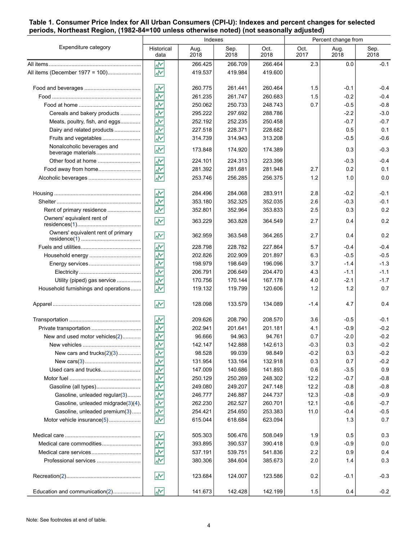## <span id="page-3-0"></span>**Table 1. Consumer Price Index for All Urban Consumers (CPI-U): Indexes and percent changes for selected periods, Northeast Region, (1982-84=100 unless otherwise noted) (not seasonally adjusted)**

|                                                  |                         | Indexes      |              | Percent change from |              |              |              |
|--------------------------------------------------|-------------------------|--------------|--------------|---------------------|--------------|--------------|--------------|
| Expenditure category                             | Historical<br>data      | Aug.<br>2018 | Sep.<br>2018 | Oct.<br>2018        | Oct.<br>2017 | Aug.<br>2018 | Sep.<br>2018 |
|                                                  | ₩                       | 266.425      | 266.709      | 266.464             | 2.3          | 0.0          | $-0.1$       |
| All items (December 1977 = 100)                  | $\overline{\mathbf{v}}$ | 419.537      | 419.984      | 419.600             |              |              |              |
|                                                  | ₩                       | 260.775      | 261.441      | 260.464             | 1.5          | $-0.1$       | $-0.4$       |
|                                                  | ł                       | 261.235      | 261.747      | 260.683             | 1.5          | $-0.2$       | $-0.4$       |
|                                                  | ž                       | 250.062      | 250.733      | 248.743             | 0.7          | $-0.5$       | $-0.8$       |
| Cereals and bakery products                      | š                       | 295.222      | 297.692      | 288.786             |              | $-2.2$       | $-3.0$       |
| Meats, poultry, fish, and eggs                   | š                       | 252.192      | 252.235      | 250.458             |              | $-0.7$       | $-0.7$       |
| Dairy and related products                       | ž                       | 227.518      | 228.371      | 228.682             |              | 0.5          | 0.1          |
| Fruits and vegetables                            | š                       | 314.739      | 314.943      | 313.208             |              | $-0.5$       | $-0.6$       |
| Nonalcoholic beverages and<br>beverage materials | ۸V                      | 173.848      | 174.920      | 174.389             |              | 0.3          | $-0.3$       |
| Other food at home                               | Ť                       | 224.101      | 224.313      | 223.396             |              | $-0.3$       | $-0.4$       |
| Food away from home                              | 交                       | 281.392      | 281.681      | 281.948             | 2.7          | 0.2          | 0.1          |
|                                                  | ۸V                      | 253.746      | 256.285      | 256.375             | 1.2          | 1.0          | 0.0          |
|                                                  | Ñ                       | 284.496      | 284.068      | 283.911             | 2.8          | $-0.2$       | $-0.1$       |
|                                                  | $\overline{\mathbf{v}}$ | 353.180      | 352.325      | 352.035             | 2.6          | $-0.3$       | $-0.1$       |
| Rent of primary residence                        | $\overline{\star}$      | 352.801      | 352.964      | 353.833             | 2.5          | 0.3          | 0.2          |
| Owners' equivalent rent of                       | ŵ٨                      | 363.229      | 363.828      | 364.549             | 2.7          | 0.4          | 0.2          |
| Owners' equivalent rent of primary               | ۸V                      | 362.959      | 363.548      | 364.265             | 2.7          | 0.4          | 0.2          |
|                                                  | ž                       | 228.798      | 228.782      | 227.864             | 5.7          | $-0.4$       | $-0.4$       |
|                                                  | $\overline{\star}$      | 202.826      | 202.909      | 201.897             | 6.3          | $-0.5$       | $-0.5$       |
|                                                  | $\bar{\mathbf{v}}$      | 198.979      | 198.649      | 196.096             | 3.7          | $-1.4$       | $-1.3$       |
|                                                  | ş                       | 206.791      | 206.649      | 204.470             | 4.3          | $-1.1$       | $-1.1$       |
| Utility (piped) gas service                      | ۸Ņ                      | 170.756      | 170.144      | 167.178             | 4.0          | $-2.1$       | $-1.7$       |
| Household furnishings and operations             | ۸V                      | 119.132      | 119.799      | 120.606             | 1.2          | 1.2          | 0.7          |
|                                                  | W٨                      | 128.098      | 133.579      | 134.089             | $-1.4$       | 4.7          | 0.4          |
|                                                  | ₩                       | 209.626      | 208.790      | 208.570             | 3.6          | $-0.5$       | $-0.1$       |
|                                                  | $\overline{\mathbf{v}}$ | 202.941      | 201.641      | 201.181             | 4.1          | $-0.9$       | $-0.2$       |
| New and used motor vehicles(2)                   | Ñ                       | 96.666       | 94.963       | 94.761              | 0.7          | $-2.0$       | $-0.2$       |
|                                                  | ۸Μ                      | 142.147      | 142.888      | 142.613             | $-0.3$       | 0.3          | $-0.2$       |
| New cars and trucks $(2)(3)$                     | ž                       | 98.528       | 99.039       | 98.849              | $-0.2$       | 0.3          | $-0.2$       |
|                                                  | $\overline{\star}$      | 131.954      | 133.164      | 132.918             | 0.3          | 0.7          | $-0.2$       |
| Used cars and trucks                             | $\overline{\mathbf{v}}$ | 147.009      | 140.686      | 141.893             | 0.6          | $-3.5$       | 0.9          |
|                                                  |                         | 250.129      | 250.269      | 248.302             | 12.2         | $-0.7$       | $-0.8$       |
| Gasoline (all types)                             | 초봉추                     | 249.080      | 249.207      | 247.148             | 12.2         | $-0.8$       | $-0.8$       |
| Gasoline, unleaded regular(3)                    |                         | 246.777      | 246.887      | 244.737             | 12.3         | $-0.8$       | $-0.9$       |
| Gasoline, unleaded midgrade(3)(4).               |                         | 262.230      | 262.527      | 260.701             | 12.1         | $-0.6$       | $-0.7$       |
| Gasoline, unleaded premium(3)                    | ۸Ņ                      | 254.421      | 254.650      | 253.383             | 11.0         | $-0.4$       | $-0.5$       |
| Motor vehicle insurance(5)                       | ž                       | 615.044      | 618.684      | 623.094             |              | 1.3          | 0.7          |
|                                                  | ₩                       | 505.303      | 506.476      | 508.049             | 1.9          | 0.5          | 0.3          |
| Medical care commodities                         | $\frac{1}{2}$           | 393.895      | 390.537      | 390.418             | 0.9          | $-0.9$       | 0.0          |
|                                                  |                         | 537.191      | 539.751      | 541.836             | 2.2          | 0.9          | 0.4          |
|                                                  | ۸V                      | 380.306      | 384.604      | 385.673             | 2.0          | 1.4          | 0.3          |
|                                                  | W                       | 123.684      | 124.007      | 123.586             | 0.2          | -0.1         | $-0.3$       |
| Education and communication(2)                   | ۸M                      | 141.673      | 142.428      | 142.199             | 1.5          | 0.4          | $-0.2$       |